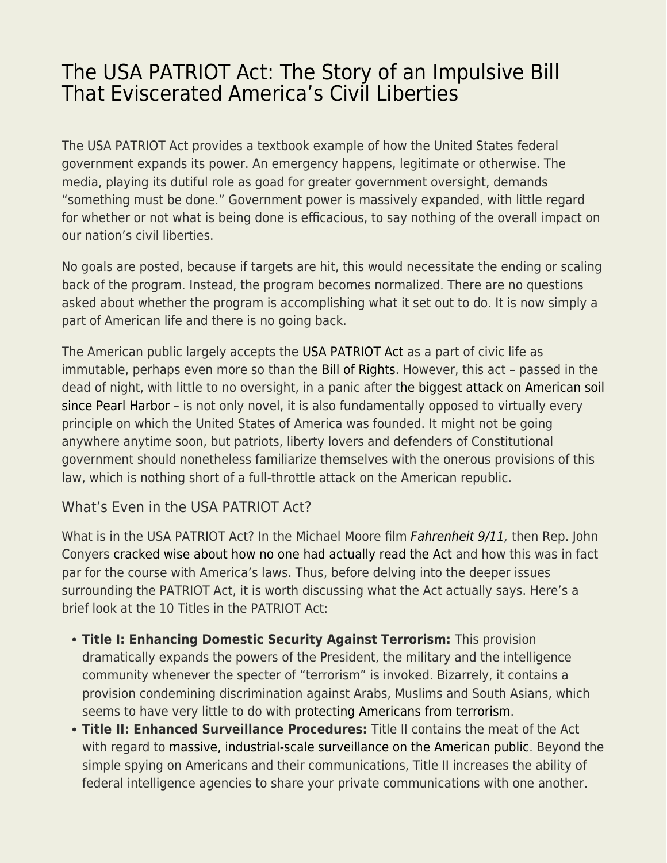## [The USA PATRIOT Act: The Story of an Impulsive Bill](https://everything-voluntary.com/the-usa-patriot-act-the-story-of-an-impulsive-bill-that-eviscerated-americas-civil-liberties) [That Eviscerated America's Civil Liberties](https://everything-voluntary.com/the-usa-patriot-act-the-story-of-an-impulsive-bill-that-eviscerated-americas-civil-liberties)

The USA PATRIOT Act provides a textbook example of how the United States federal government expands its power. An emergency happens, legitimate or otherwise. The media, playing its dutiful role as goad for greater government oversight, demands "something must be done." Government power is massively expanded, with little regard for whether or not what is being done is efficacious, to say nothing of the overall impact on our nation's civil liberties.

No goals are posted, because if targets are hit, this would necessitate the ending or scaling back of the program. Instead, the program becomes normalized. There are no questions asked about whether the program is accomplishing what it set out to do. It is now simply a part of American life and there is no going back.

The American public largely accepts th[e USA PATRIOT Act](https://www.aclu.org/other/text-usa-patriot-act) as a part of civic life as immutable, perhaps even more so than the [Bill of Rights](https://ammo.com/articles/us-constitution-interactive#am1). However, this act – passed in the dead of night, with little to no oversight, in a panic after [the biggest attack on American soil](https://ammo.com/articles/9-11-attacks-understanding-al-qaeda-americas-secret-war) [since Pearl Harbor](https://ammo.com/articles/9-11-attacks-understanding-al-qaeda-americas-secret-war) – is not only novel, it is also fundamentally opposed to virtually every principle on which the United States of America was founded. It might not be going anywhere anytime soon, but patriots, liberty lovers and defenders of Constitutional government should nonetheless familiarize themselves with the onerous provisions of this law, which is nothing short of a full-throttle attack on the American republic.

## What's Even in the USA PATRIOT Act?

What is in the USA PATRIOT Act? In the Michael Moore film [Fahrenheit 9/11](https://www.imdb.com/title/tt0361596/), then Rep. John Conyers [cracked wise about how no one had actually read the Act](https://www.youtube.com/watch?v=fDsDaFM2aGc) and how this was in fact par for the course with America's laws. Thus, before delving into the deeper issues surrounding the PATRIOT Act, it is worth discussing what the Act actually says. Here's a brief look at the 10 Titles in the PATRIOT Act:

- **Title I: Enhancing Domestic Security Against Terrorism:** This provision dramatically expands the powers of the President, the military and the intelligence community whenever the specter of "terrorism" is invoked. Bizarrely, it contains a provision condemining discrimination against Arabs, Muslims and South Asians, which seems to have very little to do with [protecting Americans from terrorism.](https://ammo.com/articles/tsa-airport-security-theater-guide)
- **Title II: Enhanced Surveillance Procedures:** Title II contains the meat of the Act with regard to [massive, industrial-scale surveillance on the American public.](https://ammo.com/articles/edward-snowden-forgotten-story-whistleblower-exposed-nsa-surveillance) Beyond the simple spying on Americans and their communications, Title II increases the ability of federal intelligence agencies to share your private communications with one another.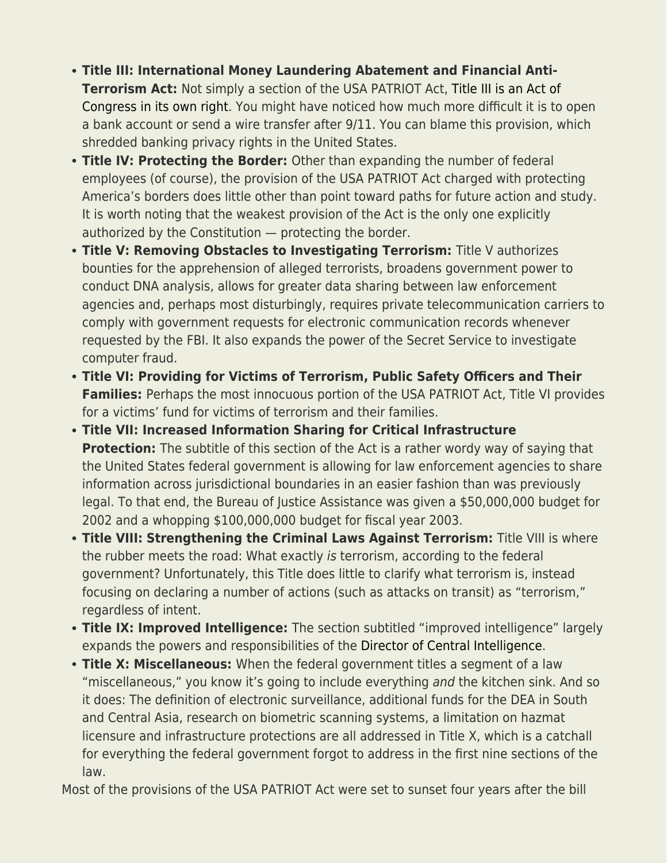- **Title III: International Money Laundering Abatement and Financial Anti-Terrorism Act:** Not simply a section of the USA PATRIOT Act[, Title III is an Act of](https://www.fdic.gov/regulations/examinations/bsa/patriot-act.pdf) [Congress in its own right.](https://www.fdic.gov/regulations/examinations/bsa/patriot-act.pdf) You might have noticed how much more difficult it is to open a bank account or send a wire transfer after 9/11. You can blame this provision, which shredded banking privacy rights in the United States.
- **Title IV: Protecting the Border:** Other than expanding the number of federal employees (of course), the provision of the USA PATRIOT Act charged with protecting America's borders does little other than point toward paths for future action and study. It is worth noting that the weakest provision of the Act is the only one explicitly authorized by the Constitution — protecting the border.
- **Title V: Removing Obstacles to Investigating Terrorism:** Title V authorizes bounties for the apprehension of alleged terrorists, broadens government power to conduct DNA analysis, allows for greater data sharing between law enforcement agencies and, perhaps most disturbingly, requires private telecommunication carriers to comply with government requests for electronic communication records whenever requested by the FBI. It also expands the power of the Secret Service to investigate computer fraud.
- **Title VI: Providing for Victims of Terrorism, Public Safety Officers and Their Families:** Perhaps the most innocuous portion of the USA PATRIOT Act, Title VI provides for a victims' fund for victims of terrorism and their families.
- **Title VII: Increased Information Sharing for Critical Infrastructure Protection:** The subtitle of this section of the Act is a rather wordy way of saying that the United States federal government is allowing for law enforcement agencies to share information across jurisdictional boundaries in an easier fashion than was previously legal. To that end, the Bureau of Justice Assistance was given a \$50,000,000 budget for 2002 and a whopping \$100,000,000 budget for fiscal year 2003.
- **Title VIII: Strengthening the Criminal Laws Against Terrorism:** Title VIII is where the rubber meets the road: What exactly is terrorism, according to the federal government? Unfortunately, this Title does little to clarify what terrorism is, instead focusing on declaring a number of actions (such as attacks on transit) as "terrorism," regardless of intent.
- **Title IX: Improved Intelligence:** The section subtitled "improved intelligence" largely expands the powers and responsibilities of the [Director of Central Intelligence.](https://en.wikipedia.org/wiki/Director_of_Central_Intelligence)
- **Title X: Miscellaneous:** When the federal government titles a segment of a law "miscellaneous," you know it's going to include everything and the kitchen sink. And so it does: The definition of electronic surveillance, additional funds for the DEA in South and Central Asia, research on biometric scanning systems, a limitation on hazmat licensure and infrastructure protections are all addressed in Title X, which is a catchall for everything the federal government forgot to address in the first nine sections of the law.

Most of the provisions of the USA PATRIOT Act were set to sunset four years after the bill